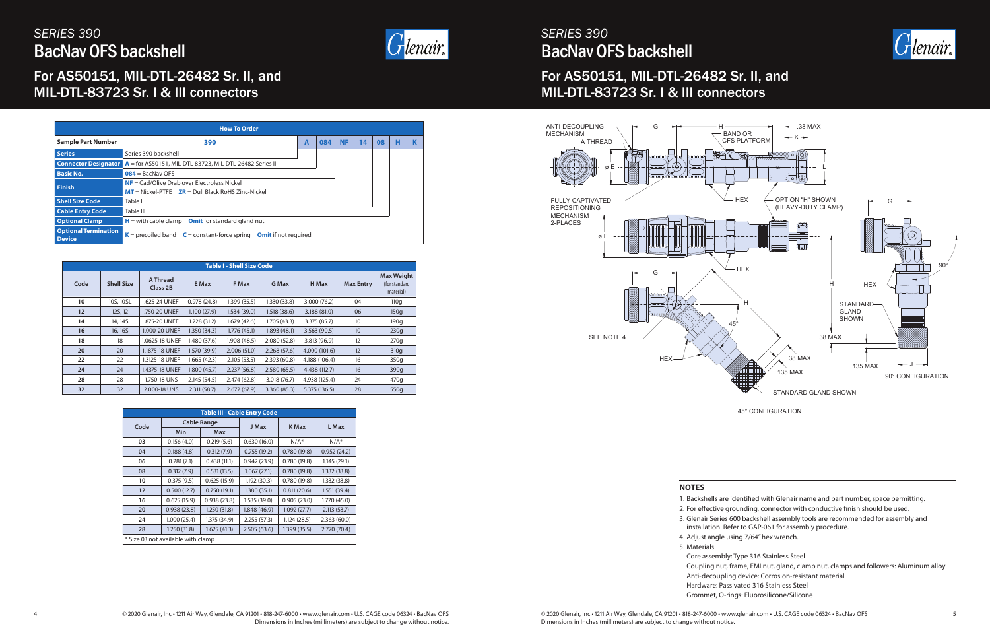

*SERIES 390* BacNav OFS backshell

## For AS50151, MIL-DTL-26482 Sr. II, and MIL-DTL-83723 Sr. I & III connectors

# *SERIES 390* BacNav OFS backshell



## For AS50151, MIL-DTL-26482 Sr. II, and MIL-DTL-83723 Sr. I & III connectors

|                                              | <b>How To Order</b>                                                   |   |     |           |    |    |   |    |
|----------------------------------------------|-----------------------------------------------------------------------|---|-----|-----------|----|----|---|----|
| <b>Sample Part Number</b>                    | 390                                                                   | A | 084 | <b>NF</b> | 14 | 08 | н | -K |
| <b>Series</b>                                | Series 390 backshell                                                  |   |     |           |    |    |   |    |
| <b>Connector Designator</b>                  | $A =$ for AS50151, MIL-DTL-83723, MIL-DTL-26482 Series II             |   |     |           |    |    |   |    |
| <b>Basic No.</b>                             | $084 =$ BacNav OFS                                                    |   |     |           |    |    |   |    |
| <b>Finish</b>                                | $NF = \text{Cad}/Olive Drab over Electroless Nickel$                  |   |     |           |    |    |   |    |
|                                              | $MT = Nickel-PTFE$ $ZR = DulB$ Black RoHS Zinc-Nickel                 |   |     |           |    |    |   |    |
| <b>Shell Size Code</b>                       | Table I                                                               |   |     |           |    |    |   |    |
| <b>Cable Entry Code</b>                      | Table III                                                             |   |     |           |    |    |   |    |
| <b>Optional Clamp</b>                        | $H =$ with cable clamp Omit for standard gland nut                    |   |     |           |    |    |   |    |
| <b>Optional Termination</b><br><b>Device</b> | $K =$ precoiled band $C =$ constant-force spring Omit if not required |   |     |           |    |    |   |    |
|                                              |                                                                       |   |     |           |    |    |   |    |

|                   |                   |                      |              | <b>Table I - Shell Size Code</b> |              |               |                  |                                                 |
|-------------------|-------------------|----------------------|--------------|----------------------------------|--------------|---------------|------------------|-------------------------------------------------|
| Code              | <b>Shell Size</b> | A Thread<br>Class 2B | E Max        | F Max                            | G Max        | H Max         | <b>Max Entry</b> | <b>Max Weight</b><br>(for standard<br>material) |
| 10                | 10S, 10SL         | .625-24 UNEF         | 0.978(24.8)  | 1.399(35.5)                      | 1.330(33.8)  | 3.000(76.2)   | 04               | 110q                                            |
| $12 \overline{ }$ | 12S, 12           | .750-20 UNEF         | 1.100(27.9)  | 1.534(39.0)                      | 1.518(38.6)  | 3.188(81.0)   | 06               | 150q                                            |
| 14                | 14, 14S           | .875-20 UNEF         | 1.228 (31.2) | 1.679(42.6)                      | 1.705(43.3)  | 3.375(85.7)   | 10               | 190q                                            |
| 16                | 16, 16S           | 1.000-20 UNEF        | 1.350(34.3)  | 1.776(45.1)                      | 1.893(48.1)  | 3.563(90.5)   | 10               | 230q                                            |
| 18                | 18                | 1.0625-18 UNEF       | 1.480 (37.6) | 1.908(48.5)                      | 2.080(52.8)  | 3.813 (96.9)  | 12               | 270q                                            |
| 20                | 20                | 1.1875-18 UNEF       | 1.570 (39.9) | 2.006(51.0)                      | 2.268(57.6)  | 4.000 (101.6) | 12               | 310q                                            |
| 22                | 22                | 1.3125-18 UNEF       | 1.665(42.3)  | 2.105(53.5)                      | 2.393(60.8)  | 4.188 (106.4) | 16               | 350q                                            |
| 24                | 24                | 1.4375-18 UNEF       | 1.800(45.7)  | 2.237(56.8)                      | 2.580(65.5)  | 4.438 (112.7) | 16               | 390q                                            |
| 28                | 28                | 1.750-18 UNS         | 2.145(54.5)  | 2.474(62.8)                      | 3.018 (76.7) | 4.938 (125.4) | 24               | 470q                                            |
| 32                | 32                | 2.000-18 UNS         | 2.311(58.7)  | 2.672(67.9)                      | 3.360(85.3)  | 5.375 (136.5) | 28               | 550g                                            |

|      |                                    |                    | <b>Table III - Cable Entry Code</b> |             |              |
|------|------------------------------------|--------------------|-------------------------------------|-------------|--------------|
| Code |                                    | <b>Cable Range</b> | J Max                               | K Max       | L Max        |
|      | Min                                | <b>Max</b>         |                                     |             |              |
| 03   | 0.156(4.0)                         | 0.219(5.6)         | 0.630(16.0)                         | $N/A^*$     | $N/A^*$      |
| 04   | 0.188(4.8)                         | 0.312(7.9)         | 0.755(19.2)                         | 0.780(19.8) | 0.952(24.2)  |
| 06   | 0.281(7.1)                         | 0.438(11.1)        | 0.942(23.9)                         | 0.780(19.8) | 1.145(29.1)  |
| 08   | 0.312(7.9)                         | 0.531(13.5)        | 1.067(27.1)                         | 0.780(19.8) | 1.332(33.8)  |
| 10   | 0.375(9.5)                         | 0.625(15.9)        | 1.192(30.3)                         | 0.780(19.8) | 1.332(33.8)  |
| 12   | 0.500(12.7)                        | 0.750(19.1)        | 1.380(35.1)                         | 0.811(20.6) | 1.551(39.4)  |
| 16   | 0.625(15.9)                        | 0.938(23.8)        | 1.535 (39.0)                        | 0.905(23.0) | 1.770 (45.0) |
| 20   | 0.938(23.8)                        | 1.250(31.8)        | 1.848(46.9)                         | 1.092(27.7) | 2.113(53.7)  |
| 24   | 1.000(25.4)                        | 1.375 (34.9)       | 2.255(57.3)                         | 1.124(28.5) | 2.363(60.0)  |
| 28   | 1.250(31.8)                        | 1.625(41.3)        | 2.505(63.6)                         | 1.399(35.5) | 2.770 (70.4) |
|      | * Size 03 not available with clamp |                    |                                     |             |              |

#### **NOTES**

1. Backshells are identified with Glenair name and part number, space permitting. 2. For effective grounding, connector with conductive finish should be used. 3. Glenair Series 600 backshell assembly tools are recommended for assembly and installation. Refer to GAP-061 for assembly procedure. 4. Adjust angle using 7/64" hex wrench.

- 
- 
- 
- 
- 5. Materials Core assembly: Type 316 Stainless Steel Coupling nut, frame, EMI nut, gland, clamp nut, clamps and followers: Aluminum alloy Anti-decoupling device: Corrosion-resistant material Hardware: Passivated 316 Stainless Steel

Grommet, O-rings: Fluorosilicone/Silicone

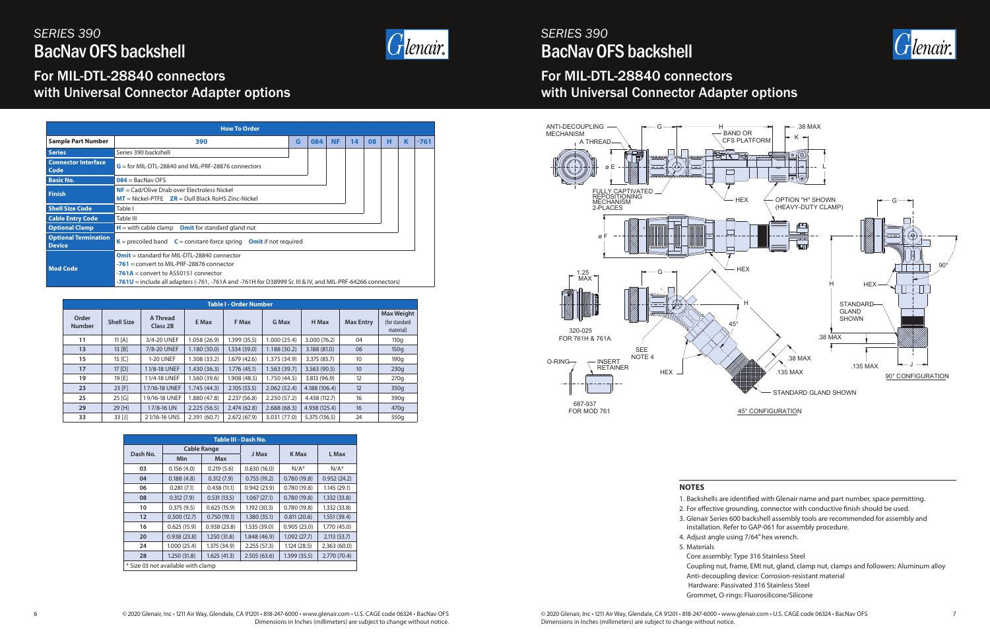

A THREAD



|                                                      |                                 | <u>YUUUUUU</u>               |
|------------------------------------------------------|---------------------------------|------------------------------|
| $1.25$<br>MAX<br>İ                                   |                                 | G<br>مممهه<br><b>JUULUUM</b> |
| 320-025<br>FOR 761H & 761A                           |                                 |                              |
| O-RING<br>INSERT<br>RETAINER<br><del>unuunuunu</del> | <b>SEE</b><br>NOTE <sub>4</sub> | <b>HEX</b>                   |
| 687-937<br>FOR MOD 761                               |                                 |                              |

ø E

ø F

FULLY CAPTIVATED REPOSITIONING MECHANISM 2-PLACES

ANTI-DECOUPLING MECHANISM

## *SERIES 390* BacNav OFS backshell

## For MIL-DTL-28840 connectors with Universal Connector Adapter options

# *SERIES 390* BacNav OFS backshell

For MIL-DTL-28840 connectors

with Universal Connector Adapter options



|                        | <b>Table I - Order Number</b> |                      |              |              |              |               |                  |                                                 |  |  |  |
|------------------------|-------------------------------|----------------------|--------------|--------------|--------------|---------------|------------------|-------------------------------------------------|--|--|--|
| Order<br><b>Number</b> | <b>Shell Size</b>             | A Thread<br>Class 2B | E Max        | F Max        | G Max        | H Max         | <b>Max Entry</b> | <b>Max Weight</b><br>(for standard<br>material) |  |  |  |
| 11                     | 11 [A]                        | 3/4-20 UNEF          | 1.058(26.9)  | 1.399(35.5)  | 1.000(25.4)  | 3.000(76.2)   | 04               | 110q                                            |  |  |  |
| 13                     | 13 [B]                        | 7/8-20 UNEF          | 1.180(30.0)  | 1.534(39.0)  | 1.188(30.2)  | 3.188 (81.0)  | 06               | 150q                                            |  |  |  |
| 15                     | 15 [C]                        | 1-20 UNEF            | 1.308(33.2)  | 1.679(42.6)  | 1.375 (34.9) | 3.375(85.7)   | 10               | 190q                                            |  |  |  |
| 17                     | $17$ [D]                      | 11/8-18 UNEF         | 1.430(36.3)  | 1.776(45.1)  | 1.563(39.7)  | 3.563(90.5)   | 10               | 230q                                            |  |  |  |
| 19                     | 19 [E]                        | 11/4-18 UNEF         | 1.560(39.6)  | 1.908 (48.5) | 1.750 (44.5) | 3.813(96.9)   | 12               | 270q                                            |  |  |  |
| 23                     | $23$ [F]                      | 17/16-18 UNEF        | 1.745(44.3)  | 2.105(53.5)  | 2.062(52.4)  | 4.188 (106.4) | 12               | 350q                                            |  |  |  |
| 25                     | 25 [G]                        | 19/16-18 UNEF        | 1.880 (47.8) | 2.237(56.8)  | 2.250(57.2)  | 4.438 (112.7) | 16               | 390q                                            |  |  |  |
| 29                     | 29 [H]                        | 17/8-16 UN           | 2.225(56.5)  | 2.474(62.8)  | 2.688(68.3)  | 4.938 (125.4) | 16               | 470q                                            |  |  |  |
| 33                     | $33$ [J]                      | 21/16-16 UNS         | 2.391(60.7)  | 2.672(67.9)  | 3.031 (77.0) | 5.375 (136.5) | 24               | 550g                                            |  |  |  |

|          |                                    |                    | Table III - Dash No. |              |              |
|----------|------------------------------------|--------------------|----------------------|--------------|--------------|
| Dash No. |                                    | <b>Cable Range</b> | J Max                | <b>K</b> Max | L Max        |
|          | Min                                | Max                |                      |              |              |
| 03       | 0.156(4.0)                         | 0.219(5.6)         | 0.630(16.0)          | $N/A^*$      | $N/A^*$      |
| 04       | 0.188(4.8)                         | 0.312(7.9)         | 0.755(19.2)          | 0.780(19.8)  | 0.952(24.2)  |
| 06       | 0.281(7.1)                         | 0.438(11.1)        | 0.942(23.9)          | 0.780(19.8)  | 1.145(29.1)  |
| 08       | 0.312(7.9)                         | 0.531(13.5)        | 1.067(27.1)          | 0.780(19.8)  | 1.332(33.8)  |
| 10       | 0.375(9.5)                         | 0.625(15.9)        | 1.192(30.3)          | 0.780(19.8)  | 1.332(33.8)  |
| 12       | 0.500(12.7)                        | 0.750(19.1)        | 1.380(35.1)          | 0.811(20.6)  | 1.551(39.4)  |
| 16       | 0.625(15.9)                        | 0.938(23.8)        | 1.535 (39.0)         | 0.905(23.0)  | 1.770 (45.0) |
| 20       | 0.938(23.8)                        | 1.250(31.8)        | 1.848(46.9)          | 1.092(27.7)  | 2.113(53.7)  |
| 24       | 1.000(25.4)                        | 1.375 (34.9)       | 2.255(57.3)          | 1.124(28.5)  | 2.363(60.0)  |
| 28       | 1.250(31.8)                        | 1.625(41.3)        | 2.505(63.6)          | 1.399(35.5)  | 2.770 (70.4) |
|          | * Size 03 not available with clamp |                    |                      |              |              |

#### **NOTES**

1. Backshells are identified with Glenair name and part number, space permitting. 2. For effective grounding, connector with conductive finish should be used. 3. Glenair Series 600 backshell assembly tools are recommended for assembly and installation. Refer to GAP-061 for assembly procedure. 4. Adjust angle using 7/64" hex wrench.

- 
- 
- 
- 
- 5. Materials Core assembly: Type 316 Stainless Steel Coupling nut, frame, EMI nut, gland, clamp nut, clamps and followers: Aluminum alloy Anti-decoupling device: Corrosion-resistant material Hardware: Passivated 316 Stainless Steel Grommet, O-rings: Fluorosilicone/Silicone

|                                              | <b>How To Order</b>                                                                                        |   |     |           |    |    |   |   |        |  |
|----------------------------------------------|------------------------------------------------------------------------------------------------------------|---|-----|-----------|----|----|---|---|--------|--|
| <b>Sample Part Number</b>                    | 390                                                                                                        | G | 084 | <b>NF</b> | 14 | 08 | н | к | $-761$ |  |
| <b>Series</b>                                | Series 390 backshell                                                                                       |   |     |           |    |    |   |   |        |  |
| <b>Connector Interface</b><br>Code           | $G =$ for MIL-DTL-28840 and MIL-PRF-28876 connectors                                                       |   |     |           |    |    |   |   |        |  |
| <b>Basic No.</b>                             | $084 =$ BacNav OFS                                                                                         |   |     |           |    |    |   |   |        |  |
| <b>Finish</b>                                | $NF = \text{Cad/Olive Draw over Electronics Nickel}$                                                       |   |     |           |    |    |   |   |        |  |
|                                              | $MT =$ Nickel-PTFE $ZR =$ Dull Black RoHS Zinc-Nickel                                                      |   |     |           |    |    |   |   |        |  |
| <b>Shell Size Code</b>                       | Table I                                                                                                    |   |     |           |    |    |   |   |        |  |
| <b>Cable Entry Code</b>                      | Table III                                                                                                  |   |     |           |    |    |   |   |        |  |
| <b>Optional Clamp</b>                        | $H =$ with cable clamp Omit for standard gland nut                                                         |   |     |           |    |    |   |   |        |  |
| <b>Optional Termination</b><br><b>Device</b> | $K$ = precoiled band $C$ = constant-force spring Omit if not required                                      |   |     |           |    |    |   |   |        |  |
|                                              | <b>Omit</b> = standard for MIL-DTL-28840 connector                                                         |   |     |           |    |    |   |   |        |  |
| <b>Mod Code</b>                              | $-761$ = convert to MIL-PRF-28876 connector                                                                |   |     |           |    |    |   |   |        |  |
|                                              | $-761A =$ convert to AS50151 connector                                                                     |   |     |           |    |    |   |   |        |  |
|                                              | -761U = include all adapters (-761, -761A and -761H for D38999 Sr. III & IV, and MIL-PRF-64266 connectors) |   |     |           |    |    |   |   |        |  |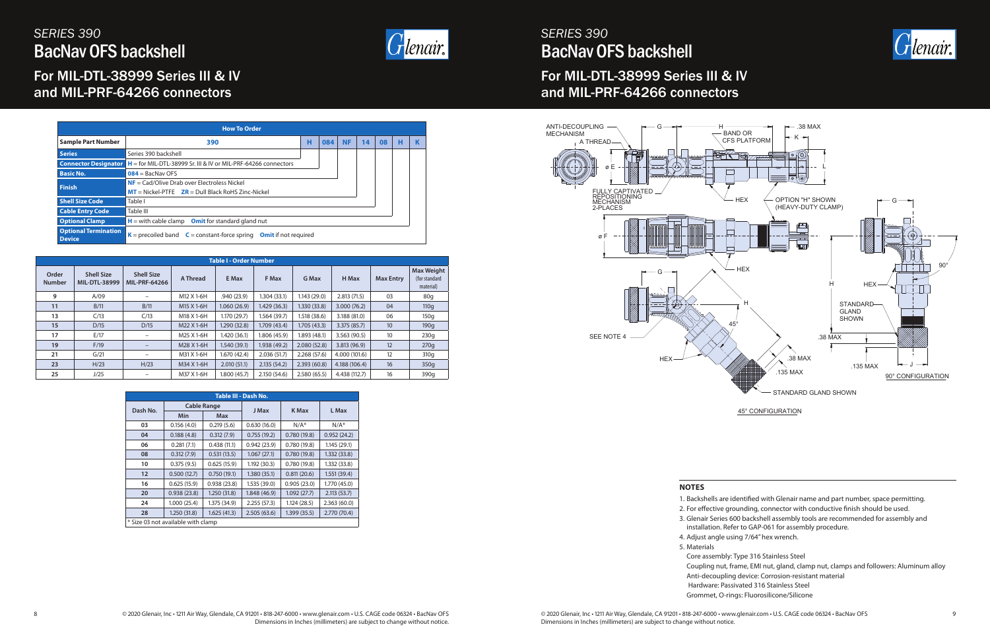

## *SERIES 390* BacNav OFS backshell

## For MIL-DTL-38999 Series III & IV and MIL-PRF-64266 connectors

# *SERIES 390* BacNav OFS backshell

For MIL-DTL-38999 Series III & IV and MIL-PRF-64266 connectors





|                        |                                    |                                           |            | <b>Table I - Order Number</b> |              |              |               |                  |                                                 |
|------------------------|------------------------------------|-------------------------------------------|------------|-------------------------------|--------------|--------------|---------------|------------------|-------------------------------------------------|
| Order<br><b>Number</b> | <b>Shell Size</b><br>MIL-DTL-38999 | <b>Shell Size</b><br><b>MIL-PRF-64266</b> | A Thread   | E Max                         | F Max        | <b>G</b> Max | H Max         | <b>Max Entry</b> | <b>Max Weight</b><br>(for standard<br>material) |
| 9                      | A/09                               | $\overline{\phantom{m}}$                  | M12 X 1-6H | .940(23.9)                    | 1.304(33.1)  | 1.143(29.0)  | 2.813(71.5)   | 03               | 80q                                             |
| 11                     | B/11                               | B/11                                      | M15 X 1-6H | 1.060(26.9)                   | 1.429(36.3)  | 1.330 (33.8) | 3.000(76.2)   | 04               | 110q                                            |
| 13                     | C/13                               | C/13                                      | M18 X 1-6H | 1.170(29.7)                   | 1.564(39.7)  | 1.518 (38.6) | 3.188 (81.0)  | 06               | 150q                                            |
| 15                     | D/15                               | D/15                                      | M22 X 1-6H | 1.290 (32.8)                  | 1.709(43.4)  | 1.705(43.3)  | 3.375(85.7)   | 10 <sup>10</sup> | 190q                                            |
| 17                     | E/17                               | $\qquad \qquad -$                         | M25 X 1-6H | 1.420(36.1)                   | 1.806(45.9)  | 1.893 (48.1) | 3.563(90.5)   | 10               | 230q                                            |
| 19                     | F/19                               | $\overline{\phantom{m}}$                  | M28 X 1-6H | 1.540(39.1)                   | 1.938 (49.2) | 2.080(52.8)  | 3.813 (96.9)  | 12               | 270q                                            |
| 21                     | G/21                               | $\qquad \qquad -$                         | M31 X 1-6H | 1.670(42.4)                   | 2.036(51.7)  | 2.268(57.6)  | 4.000 (101.6) | 12               | 310g                                            |
| 23                     | H/23                               | H/23                                      | M34 X 1-6H | 2.010(51.1)                   | 2.135(54.2)  | 2.393(60.8)  | 4.188 (106.4) | 16               | 350q                                            |
| 25                     | J/25                               | $\qquad \qquad -$                         | M37 X 1-6H | 1.800(45.7)                   | 2.150(54.6)  | 2.580(65.5)  | 4.438 (112.7) | 16               | 390q                                            |

|          |                                    |                    | Table III - Dash No. |              |              |
|----------|------------------------------------|--------------------|----------------------|--------------|--------------|
| Dash No. |                                    | <b>Cable Range</b> | J Max                | <b>K</b> Max | L Max        |
|          | <b>Min</b>                         | <b>Max</b>         |                      |              |              |
| 03       | 0.156(4.0)                         | 0.219(5.6)         | 0.630(16.0)          | $N/A^*$      | $N/A^*$      |
| 04       | 0.188(4.8)                         | 0.312(7.9)         | 0.755(19.2)          | 0.780(19.8)  | 0.952(24.2)  |
| 06       | 0.281(7.1)                         | 0.438(11.1)        | 0.942(23.9)          | 0.780(19.8)  | 1.145(29.1)  |
| 08       | 0.312(7.9)                         | 0.531(13.5)        | 1.067(27.1)          | 0.780(19.8)  | 1.332(33.8)  |
| 10       | 0.375(9.5)                         | 0.625(15.9)        | 1.192 (30.3)         | 0.780(19.8)  | 1.332(33.8)  |
| 12       | 0.500(12.7)                        | 0.750(19.1)        | 1.380(35.1)          | 0.811(20.6)  | 1.551(39.4)  |
| 16       | 0.625(15.9)                        | 0.938(23.8)        | 1.535(39.0)          | 0.905(23.0)  | 1.770 (45.0) |
| 20       | 0.938(23.8)                        | 1.250(31.8)        | 1.848(46.9)          | 1.092(27.7)  | 2.113(53.7)  |
| 24       | 1.000(25.4)                        | 1.375 (34.9)       | 2.255(57.3)          | 1.124(28.5)  | 2.363(60.0)  |
| 28       | 1.250(31.8)                        | 1.625(41.3)        | 2.505(63.6)          | 1.399(35.5)  | 2.770 (70.4) |
|          | * Size 03 not available with clamp |                    |                      |              |              |

#### **NOTES**

1. Backshells are identified with Glenair name and part number, space permitting. 2. For effective grounding, connector with conductive finish should be used. 3. Glenair Series 600 backshell assembly tools are recommended for assembly and installation. Refer to GAP-061 for assembly procedure. 4. Adjust angle using 7/64" hex wrench.

- 
- 
- 
- 
- 5. Materials Core assembly: Type 316 Stainless Steel Coupling nut, frame, EMI nut, gland, clamp nut, clamps and followers: Aluminum alloy Anti-decoupling device: Corrosion-resistant material Hardware: Passivated 316 Stainless Steel Grommet, O-rings: Fluorosilicone/Silicone

|                                              | <b>How To Order</b>                                                                                           |   |     |           |    |    |   |   |
|----------------------------------------------|---------------------------------------------------------------------------------------------------------------|---|-----|-----------|----|----|---|---|
| <b>Sample Part Number</b>                    | 390                                                                                                           | н | 084 | <b>NF</b> | 14 | 08 | н | K |
| <b>Series</b>                                | Series 390 backshell                                                                                          |   |     |           |    |    |   |   |
| <b>Connector Designator</b>                  | $H =$ for MIL-DTL-38999 Sr. III & IV or MIL-PRF-64266 connectors                                              |   |     |           |    |    |   |   |
| <b>Basic No.</b>                             | $084 =$ BacNav OFS                                                                                            |   |     |           |    |    |   |   |
| <b>Finish</b>                                | $NF = \text{Cad/Olive Draw over Electronics Nickel}$<br>$MT =$ Nickel-PTFE $ZR =$ Dull Black RoHS Zinc-Nickel |   |     |           |    |    |   |   |
| <b>Shell Size Code</b>                       | Table I                                                                                                       |   |     |           |    |    |   |   |
| <b>Cable Entry Code</b>                      | Table III                                                                                                     |   |     |           |    |    |   |   |
| <b>Optional Clamp</b>                        | $H =$ with cable clamp Omit for standard gland nut                                                            |   |     |           |    |    |   |   |
| <b>Optional Termination</b><br><b>Device</b> | $K$ = precoiled band $C$ = constant-force spring<br><b>Omit</b> if not required                               |   |     |           |    |    |   |   |